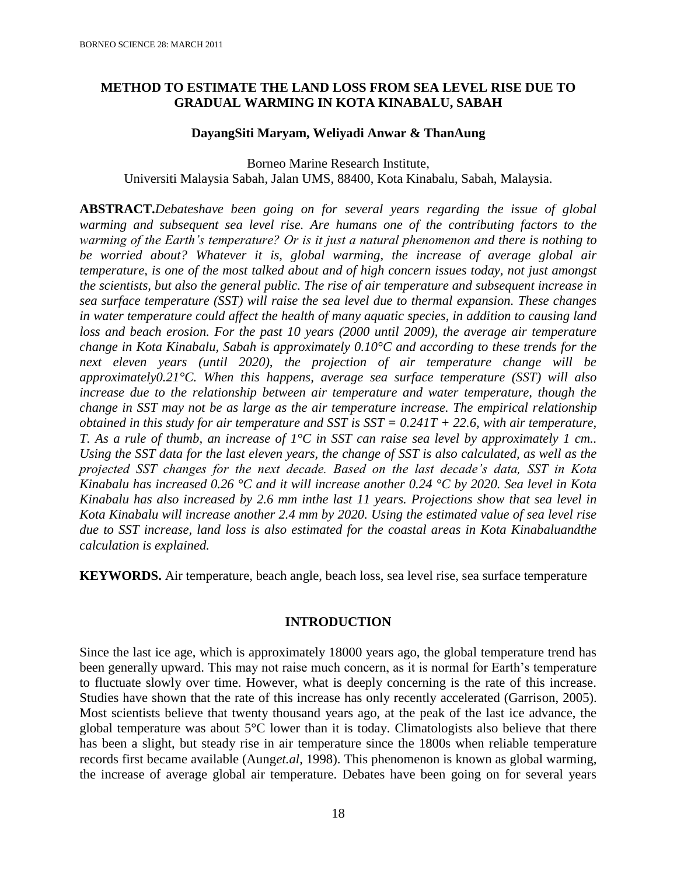# **METHOD TO ESTIMATE THE LAND LOSS FROM SEA LEVEL RISE DUE TO GRADUAL WARMING IN KOTA KINABALU, SABAH**

## **DayangSiti Maryam, Weliyadi Anwar & ThanAung**

Borneo Marine Research Institute, Universiti Malaysia Sabah, Jalan UMS, 88400, Kota Kinabalu, Sabah, Malaysia.

**ABSTRACT.***Debateshave been going on for several years regarding the issue of global warming and subsequent sea level rise. Are humans one of the contributing factors to the warming of the Earth's temperature? Or is it just a natural phenomenon and there is nothing to be worried about? Whatever it is, global warming, the increase of average global air temperature, is one of the most talked about and of high concern issues today, not just amongst the scientists, but also the general public. The rise of air temperature and subsequent increase in sea surface temperature (SST) will raise the sea level due to thermal expansion. These changes in water temperature could affect the health of many aquatic species, in addition to causing land loss and beach erosion. For the past 10 years (2000 until 2009), the average air temperature change in Kota Kinabalu, Sabah is approximately 0.10°C and according to these trends for the next eleven years (until 2020), the projection of air temperature change will be approximately0.21°C. When this happens, average sea surface temperature (SST) will also increase due to the relationship between air temperature and water temperature, though the change in SST may not be as large as the air temperature increase. The empirical relationship obtained in this study for air temperature and SST is SST = 0.241T + 22.6, with air temperature, T. As a rule of thumb, an increase of 1°C in SST can raise sea level by approximately 1 cm.. Using the SST data for the last eleven years, the change of SST is also calculated, as well as the projected SST changes for the next decade. Based on the last decade's data, SST in Kota Kinabalu has increased 0.26 °C and it will increase another 0.24 °C by 2020. Sea level in Kota Kinabalu has also increased by 2.6 mm inthe last 11 years. Projections show that sea level in Kota Kinabalu will increase another 2.4 mm by 2020. Using the estimated value of sea level rise due to SST increase, land loss is also estimated for the coastal areas in Kota Kinabaluandthe calculation is explained.*

**KEYWORDS.** Air temperature, beach angle, beach loss, sea level rise, sea surface temperature

# **INTRODUCTION**

Since the last ice age, which is approximately 18000 years ago, the global temperature trend has been generally upward. This may not raise much concern, as it is normal for Earth's temperature to fluctuate slowly over time. However, what is deeply concerning is the rate of this increase. Studies have shown that the rate of this increase has only recently accelerated (Garrison, 2005). Most scientists believe that twenty thousand years ago, at the peak of the last ice advance, the global temperature was about 5°C lower than it is today. Climatologists also believe that there has been a slight, but steady rise in air temperature since the 1800s when reliable temperature records first became available (Aung*et.al*, 1998). This phenomenon is known as global warming, the increase of average global air temperature. Debates have been going on for several years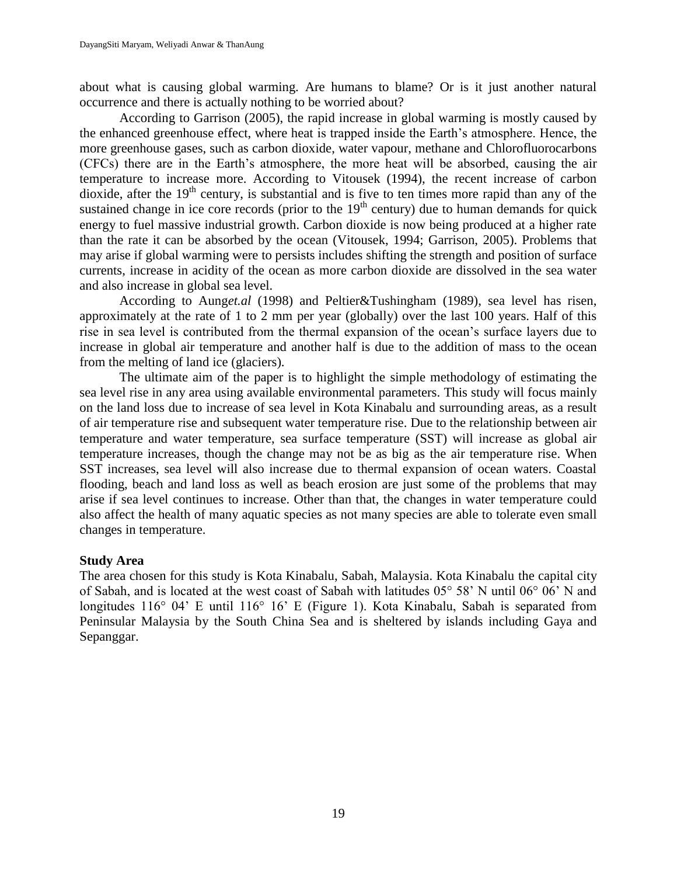about what is causing global warming. Are humans to blame? Or is it just another natural occurrence and there is actually nothing to be worried about?

According to Garrison (2005), the rapid increase in global warming is mostly caused by the enhanced greenhouse effect, where heat is trapped inside the Earth's atmosphere. Hence, the more greenhouse gases, such as carbon dioxide, water vapour, methane and Chlorofluorocarbons (CFCs) there are in the Earth's atmosphere, the more heat will be absorbed, causing the air temperature to increase more. According to Vitousek (1994), the recent increase of carbon dioxide, after the 19<sup>th</sup> century, is substantial and is five to ten times more rapid than any of the sustained change in ice core records (prior to the  $19<sup>th</sup>$  century) due to human demands for quick energy to fuel massive industrial growth. Carbon dioxide is now being produced at a higher rate than the rate it can be absorbed by the ocean (Vitousek, 1994; Garrison, 2005). Problems that may arise if global warming were to persists includes shifting the strength and position of surface currents, increase in acidity of the ocean as more carbon dioxide are dissolved in the sea water and also increase in global sea level.

According to Aung*et.al* (1998) and Peltier&Tushingham (1989), sea level has risen, approximately at the rate of 1 to 2 mm per year (globally) over the last 100 years. Half of this rise in sea level is contributed from the thermal expansion of the ocean's surface layers due to increase in global air temperature and another half is due to the addition of mass to the ocean from the melting of land ice (glaciers).

The ultimate aim of the paper is to highlight the simple methodology of estimating the sea level rise in any area using available environmental parameters. This study will focus mainly on the land loss due to increase of sea level in Kota Kinabalu and surrounding areas, as a result of air temperature rise and subsequent water temperature rise. Due to the relationship between air temperature and water temperature, sea surface temperature (SST) will increase as global air temperature increases, though the change may not be as big as the air temperature rise. When SST increases, sea level will also increase due to thermal expansion of ocean waters. Coastal flooding, beach and land loss as well as beach erosion are just some of the problems that may arise if sea level continues to increase. Other than that, the changes in water temperature could also affect the health of many aquatic species as not many species are able to tolerate even small changes in temperature.

## **Study Area**

The area chosen for this study is Kota Kinabalu, Sabah, Malaysia. Kota Kinabalu the capital city of Sabah, and is located at the west coast of Sabah with latitudes 05° 58' N until 06° 06' N and longitudes 116° 04' E until 116° 16' E (Figure 1). Kota Kinabalu, Sabah is separated from Peninsular Malaysia by the South China Sea and is sheltered by islands including Gaya and Sepanggar.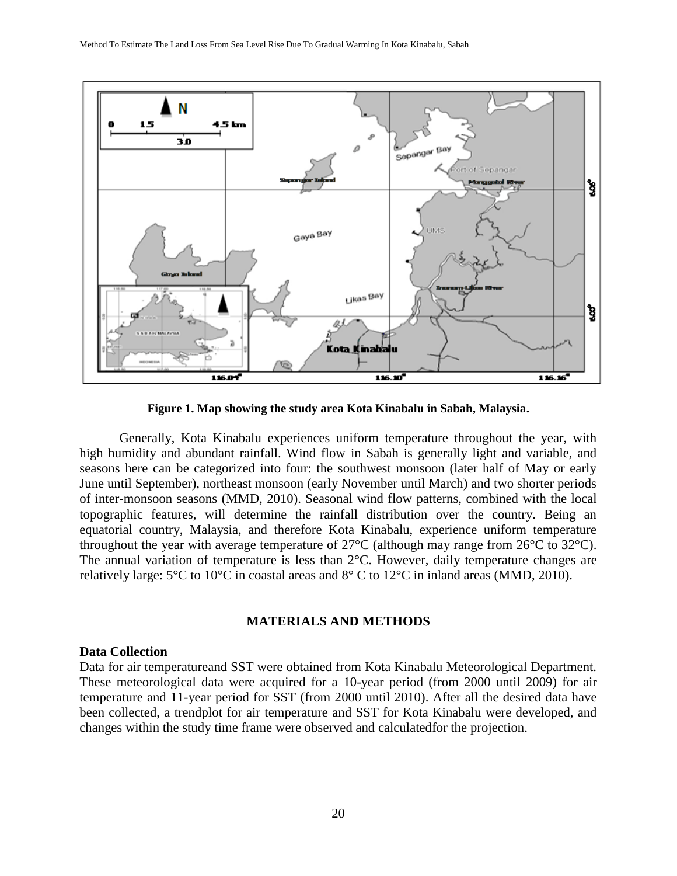

**Figure 1. Map showing the study area Kota Kinabalu in Sabah, Malaysia.**

Generally, Kota Kinabalu experiences uniform temperature throughout the year, with high humidity and abundant rainfall. Wind flow in Sabah is generally light and variable, and seasons here can be categorized into four: the southwest monsoon (later half of May or early June until September), northeast monsoon (early November until March) and two shorter periods of inter-monsoon seasons (MMD, 2010). Seasonal wind flow patterns, combined with the local topographic features, will determine the rainfall distribution over the country. Being an equatorial country, Malaysia, and therefore Kota Kinabalu, experience uniform temperature throughout the year with average temperature of 27°C (although may range from 26°C to 32°C). The annual variation of temperature is less than 2°C. However, daily temperature changes are relatively large: 5°C to 10°C in coastal areas and 8° C to 12°C in inland areas (MMD, 2010).

# **MATERIALS AND METHODS**

#### **Data Collection**

Data for air temperatureand SST were obtained from Kota Kinabalu Meteorological Department. These meteorological data were acquired for a 10-year period (from 2000 until 2009) for air temperature and 11-year period for SST (from 2000 until 2010). After all the desired data have been collected, a trendplot for air temperature and SST for Kota Kinabalu were developed, and changes within the study time frame were observed and calculatedfor the projection.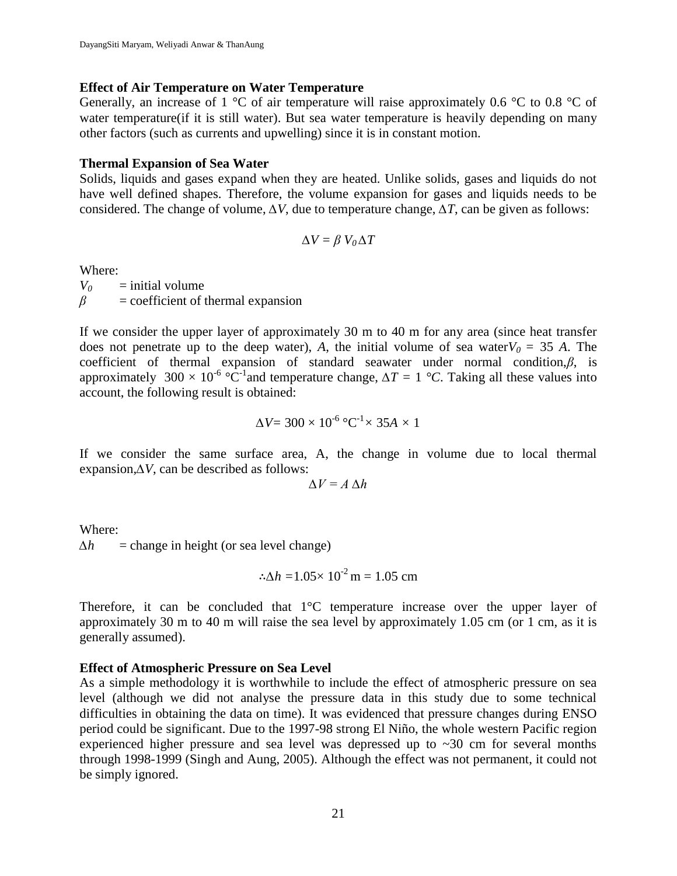## **Effect of Air Temperature on Water Temperature**

Generally, an increase of 1  $\degree$ C of air temperature will raise approximately 0.6  $\degree$ C to 0.8  $\degree$ C of water temperature (if it is still water). But sea water temperature is heavily depending on many other factors (such as currents and upwelling) since it is in constant motion.

## **Thermal Expansion of Sea Water**

Solids, liquids and gases expand when they are heated. Unlike solids, gases and liquids do not have well defined shapes. Therefore, the volume expansion for gases and liquids needs to be considered. The change of volume, *∆V*, due to temperature change, *∆T*, can be given as follows:

$$
\Delta V = \beta V_0 \Delta T
$$

Where:

 $V_0$  = initial volume  $\beta$  = coefficient of thermal expansion

If we consider the upper layer of approximately 30 m to 40 m for any area (since heat transfer does not penetrate up to the deep water), *A*, the initial volume of sea water $V_0 = 35$  *A*. The coefficient of thermal expansion of standard seawater under normal condition,*β*, is approximately 300  $\times$  10<sup>-6</sup> °C<sup>-1</sup> and temperature change,  $\Delta T = 1$  °C. Taking all these values into account, the following result is obtained:

$$
\Delta V = 300 \times 10^{-6} \, \text{°C}^{-1} \times 35A \times 1
$$

If we consider the same surface area, A, the change in volume due to local thermal expansion,*∆V*, can be described as follows:

$$
\Delta V = A \, \Delta h
$$

Where:  $\Delta h$  = change in height (or sea level change)

$$
\therefore \Delta h = 1.05 \times 10^{-2} \,\mathrm{m} = 1.05 \,\mathrm{cm}
$$

Therefore, it can be concluded that 1°C temperature increase over the upper layer of approximately 30 m to 40 m will raise the sea level by approximately 1.05 cm (or 1 cm, as it is generally assumed).

# **Effect of Atmospheric Pressure on Sea Level**

As a simple methodology it is worthwhile to include the effect of atmospheric pressure on sea level (although we did not analyse the pressure data in this study due to some technical difficulties in obtaining the data on time). It was evidenced that pressure changes during ENSO period could be significant. Due to the 1997-98 strong El Niño, the whole western Pacific region experienced higher pressure and sea level was depressed up to ~30 cm for several months through 1998-1999 (Singh and Aung, 2005). Although the effect was not permanent, it could not be simply ignored.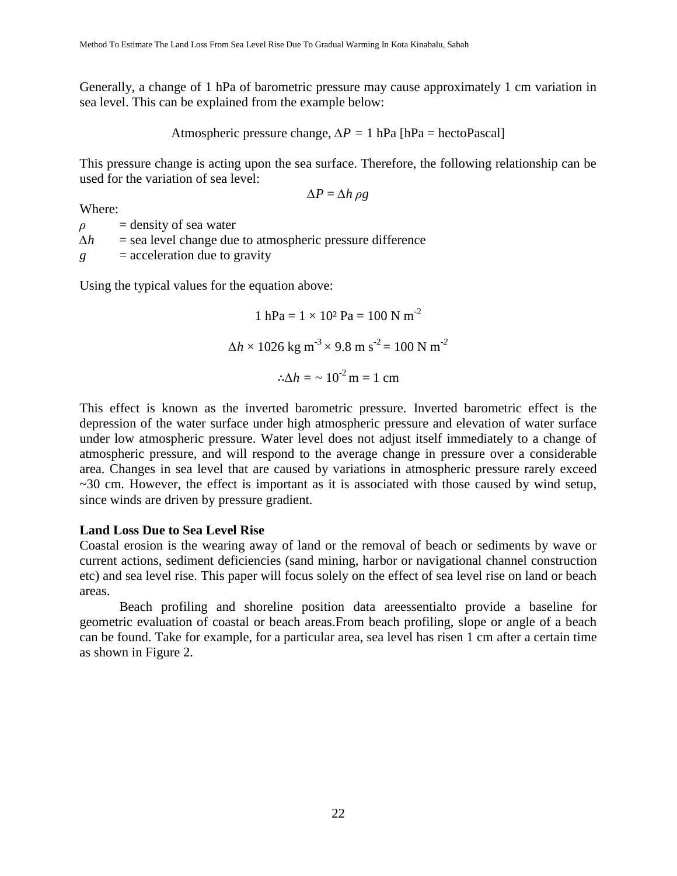Generally, a change of 1 hPa of barometric pressure may cause approximately 1 cm variation in sea level. This can be explained from the example below:

Atmospheric pressure change, 
$$
\Delta P = 1
$$
 hPa [hPa = hectoPascal]

This pressure change is acting upon the sea surface. Therefore, the following relationship can be used for the variation of sea level:

$$
\Delta P = \Delta h \, \rho g
$$

Where:

 $\rho$  = density of sea water

*∆h* = sea level change due to atmospheric pressure difference

*g* = acceleration due to gravity

Using the typical values for the equation above:

1 hPa = 1 × 10² Pa = 100 N m -2 *∆h* × 1026 kg m-3 × 9.8 m s -2 = 100 N m-*<sup>2</sup> ∆h =* ~ 10-2 m = 1 cm

This effect is known as the inverted barometric pressure. Inverted barometric effect is the depression of the water surface under high atmospheric pressure and elevation of water surface under low atmospheric pressure. Water level does not adjust itself immediately to a change of atmospheric pressure, and will respond to the average change in pressure over a considerable area. Changes in sea level that are caused by variations in atmospheric pressure rarely exceed  $\sim$ 30 cm. However, the effect is important as it is associated with those caused by wind setup, since winds are driven by pressure gradient.

## **Land Loss Due to Sea Level Rise**

Coastal erosion is the wearing away of land or the removal of beach or sediments by wave or current actions, sediment deficiencies (sand mining, harbor or navigational channel construction etc) and sea level rise. This paper will focus solely on the effect of sea level rise on land or beach areas.

Beach profiling and shoreline position data areessentialto provide a baseline for geometric evaluation of coastal or beach areas.From beach profiling, slope or angle of a beach can be found. Take for example, for a particular area, sea level has risen 1 cm after a certain time as shown in Figure 2.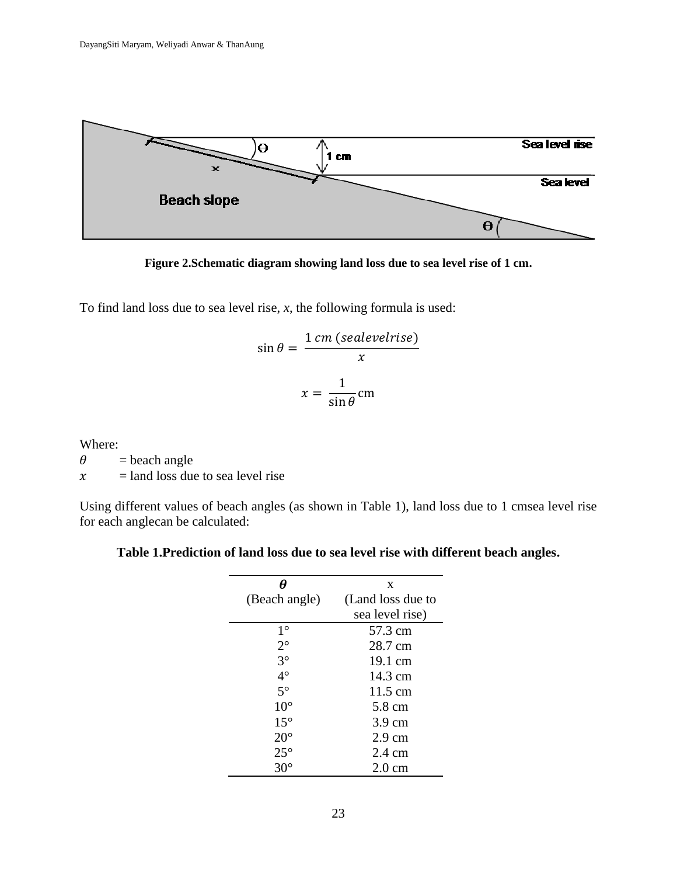

**Figure 2.Schematic diagram showing land loss due to sea level rise of 1 cm.**

To find land loss due to sea level rise, *x*, the following formula is used:

$$
\sin \theta = \frac{1 \text{ cm (sealevelrise)}}{x}
$$

$$
x = \frac{1}{\sin \theta} \text{ cm}
$$

Where:

 $\theta$  = beach angle

 $x =$  land loss due to sea level rise

Using different values of beach angles (as shown in Table 1), land loss due to 1 cmsea level rise for each anglecan be calculated:

# **Table 1.Prediction of land loss due to sea level rise with different beach angles.**

|               | X                 |
|---------------|-------------------|
| (Beach angle) | (Land loss due to |
|               | sea level rise)   |
| $1^{\circ}$   | 57.3 cm           |
| $2^{\circ}$   | 28.7 cm           |
| $3^\circ$     | 19.1 cm           |
| $4^\circ$     | 14.3 cm           |
| $5^\circ$     | 11.5 cm           |
| $10^{\circ}$  | 5.8 cm            |
| $15^{\circ}$  | $3.9 \text{ cm}$  |
| $20^{\circ}$  | $2.9 \text{ cm}$  |
| $25^{\circ}$  | 2.4 cm            |
|               | $2.0 \text{ cm}$  |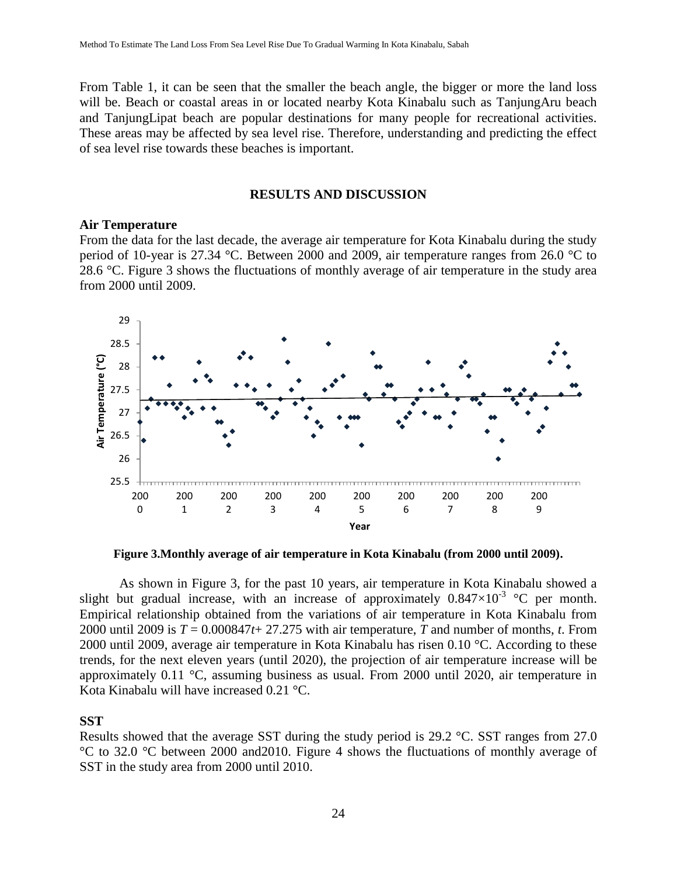From Table 1, it can be seen that the smaller the beach angle, the bigger or more the land loss will be. Beach or coastal areas in or located nearby Kota Kinabalu such as TanjungAru beach and TanjungLipat beach are popular destinations for many people for recreational activities. These areas may be affected by sea level rise. Therefore, understanding and predicting the effect of sea level rise towards these beaches is important.

### **RESULTS AND DISCUSSION**

## **Air Temperature**

From the data for the last decade, the average air temperature for Kota Kinabalu during the study period of 10-year is 27.34 °C. Between 2000 and 2009, air temperature ranges from 26.0 °C to 28.6 °C. Figure 3 shows the fluctuations of monthly average of air temperature in the study area from 2000 until 2009.



**Figure 3.Monthly average of air temperature in Kota Kinabalu (from 2000 until 2009).**

As shown in Figure 3, for the past 10 years, air temperature in Kota Kinabalu showed a slight but gradual increase, with an increase of approximately  $0.847 \times 10^{-3}$  °C per month. Empirical relationship obtained from the variations of air temperature in Kota Kinabalu from 2000 until 2009 is  $T = 0.000847t + 27.275$  with air temperature, *T* and number of months, *t*. From 2000 until 2009, average air temperature in Kota Kinabalu has risen 0.10 °C. According to these trends, for the next eleven years (until 2020), the projection of air temperature increase will be approximately 0.11 °C, assuming business as usual. From 2000 until 2020, air temperature in Kota Kinabalu will have increased 0.21 °C.

## **SST**

Results showed that the average SST during the study period is 29.2 °C. SST ranges from 27.0 °C to 32.0 °C between 2000 and2010. Figure 4 shows the fluctuations of monthly average of SST in the study area from 2000 until 2010.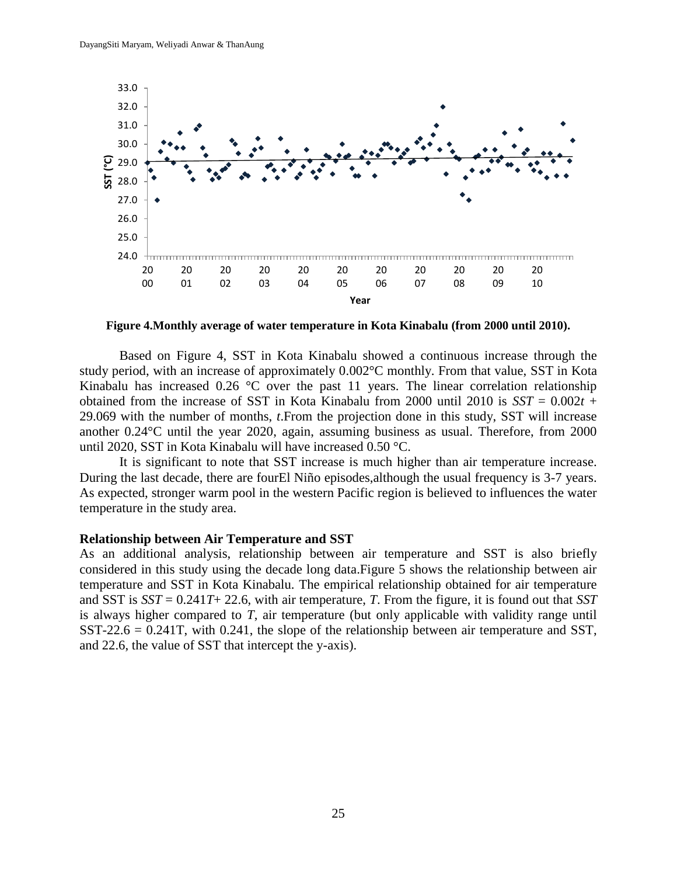

**Figure 4.Monthly average of water temperature in Kota Kinabalu (from 2000 until 2010).**

Based on Figure 4, SST in Kota Kinabalu showed a continuous increase through the study period, with an increase of approximately 0.002°C monthly. From that value, SST in Kota Kinabalu has increased 0.26 °C over the past 11 years. The linear correlation relationship obtained from the increase of SST in Kota Kinabalu from 2000 until 2010 is  $SST = 0.002t +$ 29.069 with the number of months, *t*.From the projection done in this study, SST will increase another 0.24°C until the year 2020, again, assuming business as usual. Therefore, from 2000 until 2020, SST in Kota Kinabalu will have increased 0.50 °C.

It is significant to note that SST increase is much higher than air temperature increase. During the last decade, there are fourEl Niño episodes,although the usual frequency is 3-7 years. As expected, stronger warm pool in the western Pacific region is believed to influences the water temperature in the study area.

#### **Relationship between Air Temperature and SST**

As an additional analysis, relationship between air temperature and SST is also briefly considered in this study using the decade long data.Figure 5 shows the relationship between air temperature and SST in Kota Kinabalu. The empirical relationship obtained for air temperature and SST is *SST* = 0.241*T*+ 22.6, with air temperature, *T*. From the figure, it is found out that *SST* is always higher compared to *T*, air temperature (but only applicable with validity range until SST-22.6 = 0.241T, with 0.241, the slope of the relationship between air temperature and SST, and 22.6, the value of SST that intercept the y-axis).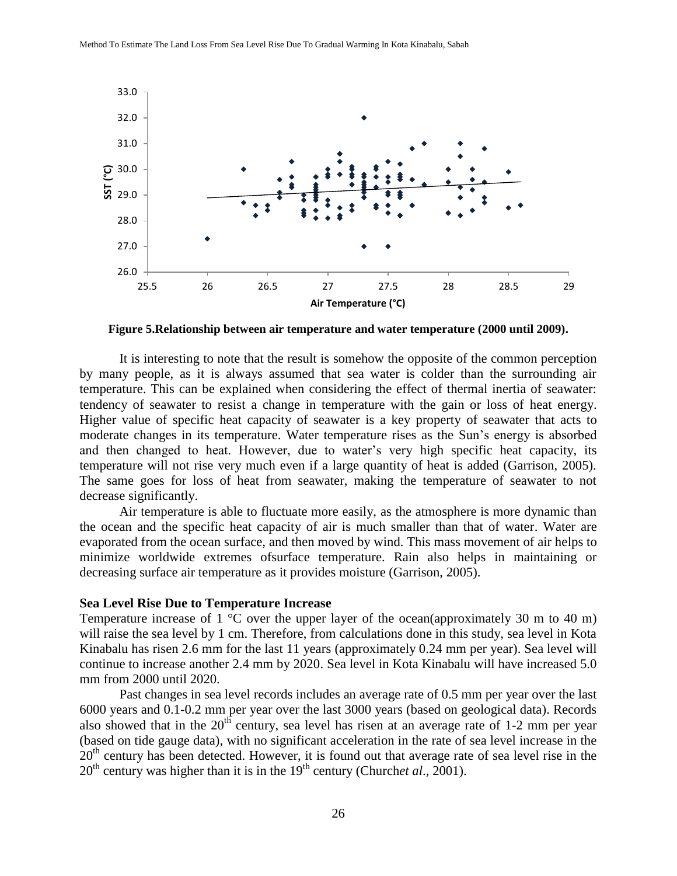

**Figure 5.Relationship between air temperature and water temperature (2000 until 2009).**

It is interesting to note that the result is somehow the opposite of the common perception by many people, as it is always assumed that sea water is colder than the surrounding air temperature. This can be explained when considering the effect of thermal inertia of seawater: tendency of seawater to resist a change in temperature with the gain or loss of heat energy. Higher value of specific heat capacity of seawater is a key property of seawater that acts to moderate changes in its temperature. Water temperature rises as the Sun's energy is absorbed and then changed to heat. However, due to water's very high specific heat capacity, its temperature will not rise very much even if a large quantity of heat is added (Garrison, 2005). The same goes for loss of heat from seawater, making the temperature of seawater to not decrease significantly.

Air temperature is able to fluctuate more easily, as the atmosphere is more dynamic than the ocean and the specific heat capacity of air is much smaller than that of water. Water are evaporated from the ocean surface, and then moved by wind. This mass movement of air helps to minimize worldwide extremes ofsurface temperature. Rain also helps in maintaining or decreasing surface air temperature as it provides moisture (Garrison, 2005).

#### **Sea Level Rise Due to Temperature Increase**

Temperature increase of 1  $^{\circ}$ C over the upper layer of the ocean(approximately 30 m to 40 m) will raise the sea level by 1 cm. Therefore, from calculations done in this study, sea level in Kota Kinabalu has risen 2.6 mm for the last 11 years (approximately 0.24 mm per year). Sea level will continue to increase another 2.4 mm by 2020. Sea level in Kota Kinabalu will have increased 5.0 mm from 2000 until 2020.

Past changes in sea level records includes an average rate of 0.5 mm per year over the last 6000 years and 0.1-0.2 mm per year over the last 3000 years (based on geological data). Records also showed that in the  $20<sup>th</sup>$  century, sea level has risen at an average rate of 1-2 mm per year (based on tide gauge data), with no significant acceleration in the rate of sea level increase in the 20<sup>th</sup> century has been detected. However, it is found out that average rate of sea level rise in the 20<sup>th</sup> century was higher than it is in the 19<sup>th</sup> century (Church*et al.*, 2001).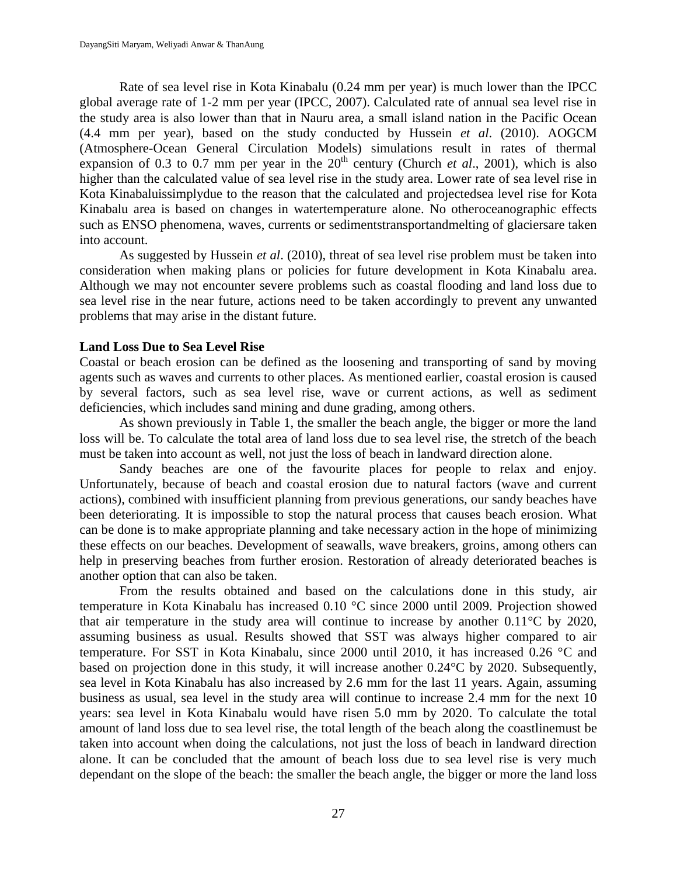Rate of sea level rise in Kota Kinabalu (0.24 mm per year) is much lower than the IPCC global average rate of 1-2 mm per year (IPCC, 2007). Calculated rate of annual sea level rise in the study area is also lower than that in Nauru area, a small island nation in the Pacific Ocean (4.4 mm per year), based on the study conducted by Hussein *et al*. (2010). AOGCM (Atmosphere-Ocean General Circulation Models) simulations result in rates of thermal expansion of 0.3 to 0.7 mm per year in the  $20<sup>th</sup>$  century (Church *et al.*, 2001), which is also higher than the calculated value of sea level rise in the study area. Lower rate of sea level rise in Kota Kinabaluissimplydue to the reason that the calculated and projectedsea level rise for Kota Kinabalu area is based on changes in watertemperature alone. No otheroceanographic effects such as ENSO phenomena, waves, currents or sedimentstransportandmelting of glaciersare taken into account.

As suggested by Hussein *et al*. (2010), threat of sea level rise problem must be taken into consideration when making plans or policies for future development in Kota Kinabalu area. Although we may not encounter severe problems such as coastal flooding and land loss due to sea level rise in the near future, actions need to be taken accordingly to prevent any unwanted problems that may arise in the distant future.

#### **Land Loss Due to Sea Level Rise**

Coastal or beach erosion can be defined as the loosening and transporting of sand by moving agents such as waves and currents to other places. As mentioned earlier, coastal erosion is caused by several factors, such as sea level rise, wave or current actions, as well as sediment deficiencies, which includes sand mining and dune grading, among others.

As shown previously in Table 1, the smaller the beach angle, the bigger or more the land loss will be. To calculate the total area of land loss due to sea level rise, the stretch of the beach must be taken into account as well, not just the loss of beach in landward direction alone.

Sandy beaches are one of the favourite places for people to relax and enjoy. Unfortunately, because of beach and coastal erosion due to natural factors (wave and current actions), combined with insufficient planning from previous generations, our sandy beaches have been deteriorating. It is impossible to stop the natural process that causes beach erosion. What can be done is to make appropriate planning and take necessary action in the hope of minimizing these effects on our beaches. Development of seawalls, wave breakers, groins, among others can help in preserving beaches from further erosion. Restoration of already deteriorated beaches is another option that can also be taken.

From the results obtained and based on the calculations done in this study, air temperature in Kota Kinabalu has increased 0.10 °C since 2000 until 2009. Projection showed that air temperature in the study area will continue to increase by another  $0.11^{\circ}$ C by 2020, assuming business as usual. Results showed that SST was always higher compared to air temperature. For SST in Kota Kinabalu, since 2000 until 2010, it has increased 0.26 °C and based on projection done in this study, it will increase another 0.24°C by 2020. Subsequently, sea level in Kota Kinabalu has also increased by 2.6 mm for the last 11 years. Again, assuming business as usual, sea level in the study area will continue to increase 2.4 mm for the next 10 years: sea level in Kota Kinabalu would have risen 5.0 mm by 2020. To calculate the total amount of land loss due to sea level rise, the total length of the beach along the coastlinemust be taken into account when doing the calculations, not just the loss of beach in landward direction alone. It can be concluded that the amount of beach loss due to sea level rise is very much dependant on the slope of the beach: the smaller the beach angle, the bigger or more the land loss